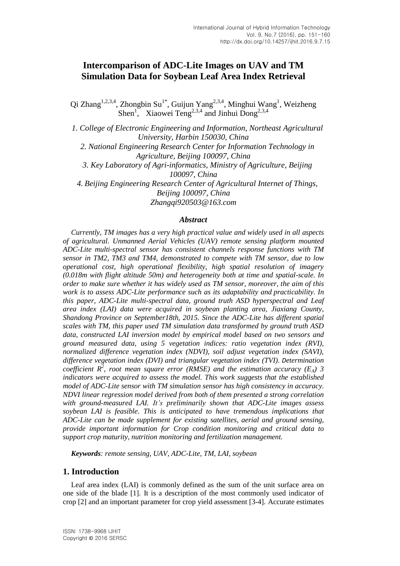# **Intercomparison of ADC-Lite Images on UAV and TM Simulation Data for Soybean Leaf Area Index Retrieval**

Qi Zhang<sup>1,2,3,4</sup>, Zhongbin Su<sup>1\*</sup>, Guijun Yang<sup>2,3,4</sup>, Minghui Wang<sup>1</sup>, Weizheng Shen<sup>1</sup>, Xiaowei Teng<sup>2,3,4</sup> and Jinhui Dong<sup>2,3,4</sup>

*1. College of Electronic Engineering and Information, Northeast Agricultural University, Harbin 150030, China 2. National Engineering Research Center for Information Technology in Agriculture, Beijing 100097, China 3. Key Laboratory of Agri-informatics, Ministry of Agriculture, Beijing 100097, China 4. Beijing Engineering Research Center of Agricultural Internet of Things, Beijing 100097, China*

*[Zhangqi920503@163.com](mailto:Zhangqi920503@163.com)*

### *Abstract*

*Currently, TM images has a very high practical value and widely used in all aspects of agricultural. Unmanned Aerial Vehicles (UAV) remote sensing platform mounted ADC-Lite multi-spectral sensor has consistent channels response functions with TM sensor in TM2, TM3 and TM4, demonstrated to compete with TM sensor, due to low operational cost, high operational flexibility, high spatial resolution of imagery (0.018m with flight altitude 50m) and heterogeneity both at time and spatial-scale. In order to make sure whether it has widely used as TM sensor, moreover, the aim of this work is to assess ADC-Lite performance such as its adaptability and practicability. In this paper, ADC-Lite multi-spectral data, ground truth ASD hyperspectral and Leaf area index (LAI) data were acquired in soybean planting area, Jiaxiang County, Shandong Province on September18th, 2015. Since the ADC-Lite has different spatial scales with TM, this paper used TM simulation data transformed by ground truth ASD data, constructed LAI inversion model by empirical model based on two sensors and ground measured data, using 5 vegetation indices: ratio vegetation index (RVI), normalized difference vegetation index (NDVI), soil adjust vegetation index (SAVI), difference vegetation index (DVI) and triangular vegetation index (TVI). Determination coefficient R<sup>2</sup> , root mean square error (RMSE) and the estimation accuracy (EA) 3 indicators were acquired to assess the model. This work suggests that the established model of ADC-Lite sensor with TM simulation sensor has high consistency in accuracy. NDVI linear regression model derived from both of them presented a strong correlation with ground-measured LAI. It's preliminarily shown that ADC-Lite images assess soybean LAI is feasible. This is anticipated to have tremendous implications that ADC-Lite can be made supplement for existing satellites, aerial and ground sensing, provide important information for Crop condition monitoring and critical data to support crop maturity, nutrition monitoring and fertilization management.*

*Keywords: remote sensing, UAV, ADC-Lite, TM, LAI, soybean*

### **1. Introduction**

Leaf area index (LAI) is commonly defined as the sum of the unit surface area on one side of the blade [1]. It is a description of the most commonly used indicator of crop [2] and an important parameter for crop yield assessment [3-4]. Accurate estimates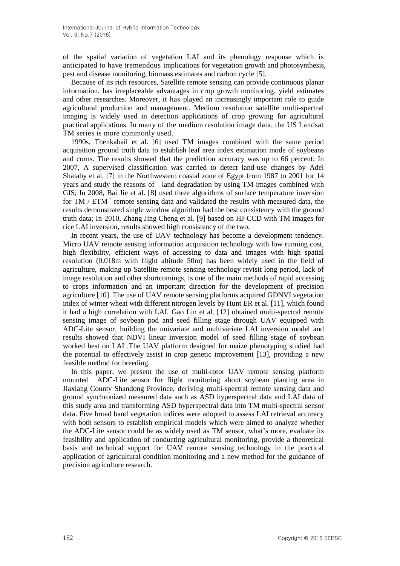of the spatial variation of vegetation LAI and its phenology response which is anticipated to have tremendous implications for vegetation growth and photosynthesis, pest and disease monitoring, biomass estimates and carbon cycle [5].

Because of its rich resources, Satellite remote sensing can provide continuous planar information, has irreplaceable advantages in crop growth monitoring, yield estimates and other researches. Moreover, it has played an increasingly important role to guide agricultural production and management. Medium resolution satellite multi-spectral imaging is widely used in detection applications of crop growing for agricultural practical applications. In many of the medium resolution image data, the US Landsat TM series is more commonly used.

1990s, Thenkabail et al. [6] used TM images combined with the same period acquisition ground truth data to establish leaf area index estimation mode of soybeans and corns. The results showed that the prediction accuracy was up to 66 percent; In 2007, A supervised classification was carried to detect land-use changes by Adel Shalaby et al. [7] in the Northwestern coastal zone of Egypt from 1987 to 2001 for 14 years and study the reasons of land degradation by using TM images combined with GIS; In 2008, Bai Jie et al. [8] used three algorithms of surface temperature inversion for TM / ETM<sup>+</sup> remote sensing data and validated the results with measured data, the results demonstrated single window algorithm had the best consistency with the ground truth data; In 2010, Zhang Jing Cheng et al. [9] based on HJ-CCD with TM images for rice LAI inversion, results showed high consistency of the two.

In recent years, the use of UAV technology has become a development tendency. Micro UAV remote sensing information acquisition technology with low running cost, high flexibility, efficient ways of accessing to data and images with high spatial resolution (0.018m with flight altitude 50m) has been widely used in the field of agriculture, making up Satellite remote sensing technology revisit long period, lack of image resolution and other shortcomings, is one of the main methods of rapid accessing to crops information and an important direction for the development of precision agriculture [10]. The use of UAV remote sensing platforms acquired GDNVI vegetation index of winter wheat with different nitrogen levels by Hunt ER et al. [11], which found it had a high correlation with LAI. Gao Lin et al. [12] obtained multi-spectral remote sensing image of soybean pod and seed filling stage through UAV equipped with ADC-Lite sensor, building the univariate and multivariate LAI inversion model and results showed that NDVI linear inversion model of seed filling stage of soybean worked best on LAI .The UAV platform designed for maize phenotyping studied had the potential to effectively assist in crop genetic improvement [13], providing a new feasible method for breeding.

In this paper, we present the use of multi-rotor UAV remote sensing platform mounted ADC-Lite sensor for flight monitoring about soybean planting area in Jiaxiang County Shandong Province, deriving multi-spectral remote sensing data and ground synchronized measured data such as ASD hyperspectral data and LAI data of this study area and transforming ASD hyperspectral data into TM multi-spectral sensor data. Five broad band vegetation indices were adopted to assess LAI retrieval accuracy with both sensors to establish empirical models which were aimed to analyze whether the ADC-Lite sensor could be as widely used as TM sensor, what's more, evaluate its feasibility and application of conducting agricultural monitoring, provide a theoretical basis and technical support for UAV remote sensing technology in the practical application of agricultural condition monitoring and a new method for the guidance of precision agriculture research.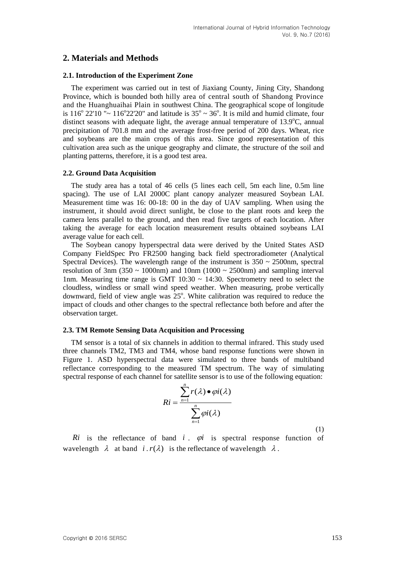# **2. Materials and Methods**

### **2.1. Introduction of the Experiment Zone**

The experiment was carried out in test of Jiaxiang County, Jining City, Shandong Province, which is bounded both hilly area of central south of Shandong Province and the Huanghuaihai Plain in southwest China. The geographical scope of longitude is 116<sup>°</sup> 22'10 "~ 116<sup>°</sup> 22'20" and latitude is  $35^\circ \sim 36^\circ$ . It is mild and humid climate, four distinct seasons with adequate light, the average annual temperature of  $13.9^{\circ}$ C, annual precipitation of 701.8 mm and the average frost-free period of 200 days. Wheat, rice and soybeans are the main crops of this area. Since good representation of this cultivation area such as the unique geography and climate, the structure of the soil and planting patterns, therefore, it is a good test area.

#### **2.2. Ground Data Acquisition**

The study area has a total of 46 cells (5 lines each cell, 5m each line, 0.5m line spacing). The use of LAI 2000C plant canopy analyzer measured Soybean LAI. Measurement time was 16: 00-18: 00 in the day of UAV sampling. When using the instrument, it should avoid direct sunlight, be close to the plant roots and keep the camera lens parallel to the ground, and then read five targets of each location. After taking the average for each location measurement results obtained soybeans LAI average value for each cell.

The Soybean canopy hyperspectral data were derived by the United States ASD Company FieldSpec Pro FR2500 hanging back field spectroradiometer (Analytical Spectral Devices). The wavelength range of the instrument is  $350 \sim 2500$  nm, spectral resolution of 3nm (350  $\sim$  1000nm) and 10nm (1000  $\sim$  2500nm) and sampling interval 1nm. Measuring time range is GMT  $10:30 \sim 14:30$ . Spectrometry need to select the cloudless, windless or small wind speed weather. When measuring, probe vertically downward, field of view angle was  $25^{\circ}$ . White calibration was required to reduce the impact of clouds and other changes to the spectral reflectance both before and after the observation target.

#### **2.3. TM Remote Sensing Data Acquisition and Processing**

TM sensor is a total of six channels in addition to thermal infrared. This study used three channels TM2, TM3 and TM4, whose band response functions were shown in Figure 1. ASD hyperspectral data were simulated to three bands of multiband reflectance corresponding to the measured TM spectrum. The way of simulating spectral response of each channel for satellite sensor is to use of the following equation:

$$
Ri = \frac{\sum_{n=1}^{n} r(\lambda) \bullet \varphi i(\lambda)}{\sum_{n=1}^{n} \varphi i(\lambda)}
$$
(1)

 $Ri$  is the reflectance of band  $i$ .  $\varphi i$  is spectral response function of wavelength  $\lambda$  at band  $i \cdot r(\lambda)$  is the reflectance of wavelength  $\lambda$ .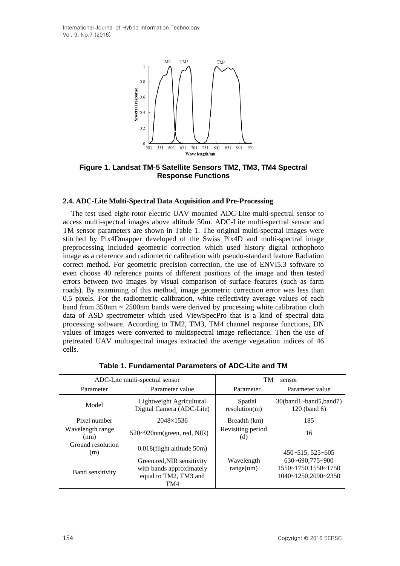International Journal of Hybrid Information Technology Vol. 9, No.7 (2016)



**Figure 1. Landsat TM-5 Satellite Sensors TM2, TM3, TM4 Spectral Response Functions**

#### **2.4. ADC-Lite Multi-Spectral Data Acquisition and Pre-Processing**

The test used eight-rotor electric UAV mounted ADC-Lite multi-spectral sensor to access multi-spectral images above altitude 50m. ADC-Lite multi-spectral sensor and TM sensor parameters are shown in Table 1. The original multi-spectral images were stitched by Pix4Dmapper developed of the Swiss Pix4D and multi-spectral image preprocessing included geometric correction which used history digital orthophoto image as a reference and radiometric calibration with pseudo-standard feature Radiation correct method. For geometric precision correction, the use of ENVI5.3 software to even choose 40 reference points of different positions of the image and then tested errors between two images by visual comparison of surface features (such as farm roads). By examining of this method, image geometric correction error was less than 0.5 pixels. For the radiometric calibration, white reflectivity average values of each band from  $350$ nm  $\sim$  2500nm bands were derived by processing white calibration cloth data of ASD spectrometer which used ViewSpecPro that is a kind of spectral data processing software. According to TM2, TM3, TM4 channel response functions, DN values of images were converted to multispectral image reflectance. Then the use of pretreated UAV multispectral images extracted the average vegetation indices of 46 cells.

| ADC-Lite multi-spectral sensor   |                                                                                         | <b>TM</b><br>sensor      |                                                                     |  |
|----------------------------------|-----------------------------------------------------------------------------------------|--------------------------|---------------------------------------------------------------------|--|
| Parameter                        | Parameter value                                                                         | Parameter                | Parameter value                                                     |  |
| Model                            | Lightweight Agricultural<br>Digital Camera (ADC-Lite)                                   | Spatial<br>resolution(m) | $30(band1 \sim band5, band7)$<br>$120$ (band 6)                     |  |
| Pixel number<br>$2048\times1536$ |                                                                                         | Breadth (km)             | 185                                                                 |  |
| Wavelength range<br>(nm)         | $520 \sim 920$ nm(green, red, NIR)                                                      | Revisiting period<br>(d) | 16                                                                  |  |
| Ground resolution<br>(m)         | $0.018$ (flight altitude 50m)                                                           |                          | $450 - 515, 525 - 605$                                              |  |
| <b>Band sensitivity</b>          | Green, red, NIR sensitivity<br>with bands approximately<br>equal to TM2, TM3 and<br>TM4 | Wavelength<br>range(nm)  | $630 - 690,775 - 900$<br>1550~1750,1550~1750<br>1040~1250,2090~2350 |  |

**Table 1. Fundamental Parameters of ADC-Lite and TM**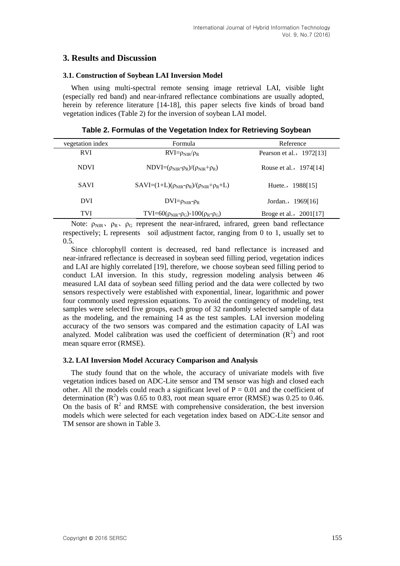# **3. Results and Discussion**

### **3.1. Construction of Soybean LAI Inversion Model**

When using multi-spectral remote sensing image retrieval LAI, visible light (especially red band) and near-infrared reflectance combinations are usually adopted, herein by reference literature [14-18], this paper selects five kinds of broad band vegetation indices (Table 2) for the inversion of soybean LAI model.

| Table 2. Formulas of the Vegetation Index for Retrieving Soybean |  |
|------------------------------------------------------------------|--|
|------------------------------------------------------------------|--|

| vegetation index | Formula                                                | Reference                |  |  |
|------------------|--------------------------------------------------------|--------------------------|--|--|
| <b>RVI</b>       | $RVI = \rho_{NIR}/\rho_R$                              | Pearson et al., 1972[13] |  |  |
| <b>NDVI</b>      | $NDVI = (\rho_{NIR} - \rho_R)/(\rho_{NIR} + \rho_R)$   | Rouse et al., 1974[14]   |  |  |
| <b>SAVI</b>      | $SAVI=(1+L)(\rho_{NIR}-\rho_R)/(\rho_{NIR}+\rho_R+L)$  | Huete., 1988[15]         |  |  |
| <b>DVI</b>       | $DVI = \rho_{NIR} - \rho_R$                            | Jordan., 1969[16]        |  |  |
| <b>TVI</b>       | $TVI = 60(\rho_{NIR} - \rho_G) - 100(\rho_R - \rho_G)$ | Broge et al., 2001[17]   |  |  |
|                  | $\sim$ $\sim$ $\sim$ $\sim$ $\sim$ $\sim$ $\sim$       |                          |  |  |

Note:  $\rho_{\text{NIR}}$ ,  $\rho_{\text{R}}$ ,  $\rho_{\text{G}}$  represent the near-infrared, infrared, green band reflectance respectively; L represents soil adjustment factor, ranging from 0 to 1, usually set to 0.5.

Since chlorophyll content is decreased, red band reflectance is increased and near-infrared reflectance is decreased in soybean seed filling period, vegetation indices and LAI are highly correlated [19], therefore, we choose soybean seed filling period to conduct LAI inversion. In this study, regression modeling analysis between 46 measured LAI data of soybean seed filling period and the data were collected by two sensors respectively were established with exponential, linear, logarithmic and power four commonly used regression equations. To avoid the contingency of modeling, test samples were selected five groups, each group of 32 randomly selected sample of data as the modeling, and the remaining 14 as the test samples. LAI inversion modeling accuracy of the two sensors was compared and the estimation capacity of LAI was analyzed. Model calibration was used the coefficient of determination  $(R^2)$  and root mean square error (RMSE).

#### **3.2. LAI Inversion Model Accuracy Comparison and Analysis**

The study found that on the whole, the accuracy of univariate models with five vegetation indices based on ADC-Lite sensor and TM sensor was high and closed each other. All the models could reach a significant level of  $P = 0.01$  and the coefficient of determination ( $\mathbb{R}^2$ ) was 0.65 to 0.83, root mean square error (RMSE) was 0.25 to 0.46. On the basis of  $R<sup>2</sup>$  and RMSE with comprehensive consideration, the best inversion models which were selected for each vegetation index based on ADC-Lite sensor and TM sensor are shown in Table 3.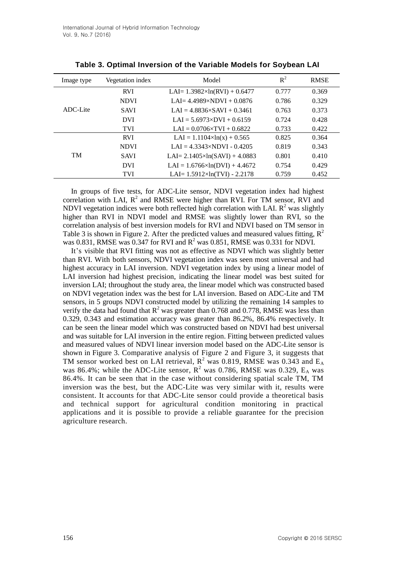| Image type | Vegetation index | Model                                  | $R^2$ | <b>RMSE</b> |
|------------|------------------|----------------------------------------|-------|-------------|
| ADC-Lite   | <b>RVI</b>       | LAI= $1.3982 \times ln(RVI) + 0.6477$  | 0.777 | 0.369       |
|            | <b>NDVI</b>      | LAI= $4.4989 \times NDVI + 0.0876$     | 0.786 | 0.329       |
|            | <b>SAVI</b>      | $LAI = 4.8836 \times SAVI + 0.3461$    | 0.763 | 0.373       |
|            | <b>DVI</b>       | $LAI = 5.6973 \times DVI + 0.6159$     | 0.724 | 0.428       |
|            | <b>TVI</b>       | $LAI = 0.0706 \times TVI + 0.6822$     | 0.733 | 0.422       |
| <b>TM</b>  | <b>RVI</b>       | $LAI = 1.1104 \times ln(x) + 0.565$    | 0.825 | 0.364       |
|            | <b>NDVI</b>      | $LAI = 4.3343 \times NDVI - 0.4205$    | 0.819 | 0.343       |
|            | <b>SAVI</b>      | LAI= $2.1405 \times ln(SAVI) + 4.0883$ | 0.801 | 0.410       |
|            | <b>DVI</b>       | $LAI = 1.6766 \times ln(DVI) + 4.4672$ | 0.754 | 0.429       |
|            | <b>TVI</b>       | LAI= $1.5912 \times ln(TVI) - 2.2178$  | 0.759 | 0.452       |

|  |  | Table 3. Optimal Inversion of the Variable Models for Soybean LAI |  |  |  |  |  |  |
|--|--|-------------------------------------------------------------------|--|--|--|--|--|--|
|--|--|-------------------------------------------------------------------|--|--|--|--|--|--|

In groups of five tests, for ADC-Lite sensor, NDVI vegetation index had highest correlation with LAI,  $R^2$  and RMSE were higher than RVI. For TM sensor, RVI and NDVI vegetation indices were both reflected high correlation with LAI.  $R^2$  was slightly higher than RVI in NDVI model and RMSE was slightly lower than RVI, so the correlation analysis of best inversion models for RVI and NDVI based on TM sensor in Table 3 is shown in Figure 2. After the predicted values and measured values fitting,  $R^2$ was 0.831, RMSE was 0.347 for RVI and  $R^2$  was 0.851, RMSE was 0.331 for NDVI.

It's visible that RVI fitting was not as effective as NDVI which was slightly better than RVI. With both sensors, NDVI vegetation index was seen most universal and had highest accuracy in LAI inversion. NDVI vegetation index by using a linear model of LAI inversion had highest precision, indicating the linear model was best suited for inversion LAI; throughout the study area, the linear model which was constructed based on NDVI vegetation index was the best for LAI inversion. Based on ADC-Lite and TM sensors, in 5 groups NDVI constructed model by utilizing the remaining 14 samples to verify the data had found that  $R^2$  was greater than 0.768 and 0.778, RMSE was less than 0.329, 0.343 and estimation accuracy was greater than 86.2%, 86.4% respectively. It can be seen the linear model which was constructed based on NDVI had best universal and was suitable for LAI inversion in the entire region. Fitting between predicted values and measured values of NDVI linear inversion model based on the ADC-Lite sensor is shown in Figure 3. Comparative analysis of Figure 2 and Figure 3, it suggests that TM sensor worked best on LAI retrieval,  $R^2$  was 0.819, RMSE was 0.343 and  $E_A$ was 86.4%; while the ADC-Lite sensor,  $R^2$  was 0.786, RMSE was 0.329,  $E_A$  was 86.4%. It can be seen that in the case without considering spatial scale TM, TM inversion was the best, but the ADC-Lite was very similar with it, results were consistent. It accounts for that ADC-Lite sensor could provide a theoretical basis and technical support for agricultural condition monitoring in practical applications and it is possible to provide a reliable guarantee for the precision agriculture research.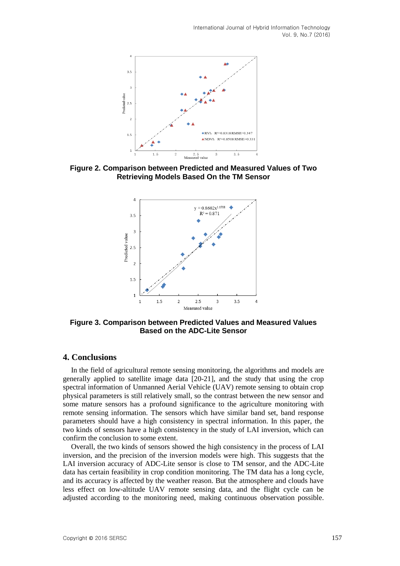International Journal of Hybrid Information Technology Vol. 9, No.7 (2016)



**Figure 2. Comparison between Predicted and Measured Values of Two Retrieving Models Based On the TM Sensor**



**Figure 3. Comparison between Predicted Values and Measured Values Based on the ADC-Lite Sensor**

## **4. Conclusions**

In the field of agricultural remote sensing monitoring, the algorithms and models are generally applied to satellite image data [20-21], and the study that using the crop spectral information of Unmanned Aerial Vehicle (UAV) remote sensing to obtain crop physical parameters is still relatively small, so the contrast between the new sensor and some mature sensors has a profound significance to the agriculture monitoring with remote sensing information. The sensors which have similar band set, band response parameters should have a high consistency in spectral information. In this paper, the two kinds of sensors have a high consistency in the study of LAI inversion, which can confirm the conclusion to some extent.

Overall, the two kinds of sensors showed the high consistency in the process of LAI inversion, and the precision of the inversion models were high. This suggests that the LAI inversion accuracy of ADC-Lite sensor is close to TM sensor, and the ADC-Lite data has certain feasibility in crop condition monitoring. The TM data has a long cycle, and its accuracy is affected by the weather reason. But the atmosphere and clouds have less effect on low-altitude UAV remote sensing data, and the flight cycle can be adjusted according to the monitoring need, making continuous observation possible.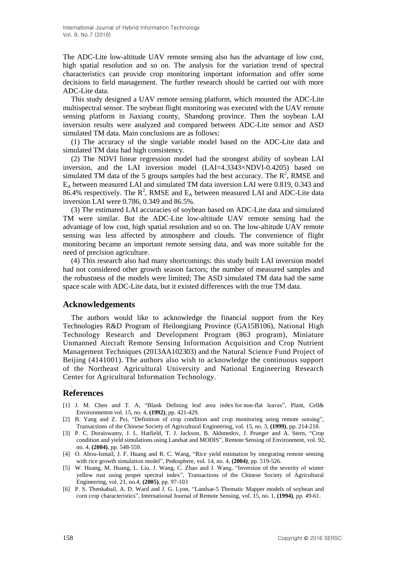The ADC-Lite low-altitude UAV remote sensing also has the advantage of low cost, high spatial resolution and so on. The analysis for the variation trend of spectral characteristics can provide crop monitoring important information and offer some decisions to field management. The further research should be carried out with more ADC-Lite data.

This study designed a UAV remote sensing platform, which mounted the ADC-Lite multispectral sensor. The soybean flight monitoring was executed with the UAV remote sensing platform in Jiaxiang county, Shandong province. Then the soybean LAI inversion results were analyzed and compared between ADC-Lite sensor and ASD simulated TM data. Main conclusions are as follows:

(1) The accuracy of the single variable model based on the ADC-Lite data and simulated TM data had high consistency.

(2) The NDVI linear regression model had the strongest ability of soybean LAI inversion, and the LAI inversion model (LAI=4.3343×NDVI-0.4205) based on simulated TM data of the 5 groups samples had the best accuracy. The  $\mathbb{R}^2$ , RMSE and  $E<sub>A</sub>$  between measured LAI and simulated TM data inversion LAI were 0.819, 0.343 and 86.4% respectively. The  $R^2$ , RMSE and  $E_A$  between measured LAI and ADC-Lite data inversion LAI were 0.786, 0.349 and 86.5%.

(3) The estimated LAI accuracies of soybean based on ADC-Lite data and simulated TM were similar. But the ADC-Lite low-altitude UAV remote sensing had the advantage of low cost, high spatial resolution and so on. The low-altitude UAV remote sensing was less affected by atmosphere and clouds. The convenience of flight monitoring became an important remote sensing data, and was more suitable for the need of precision agriculture.

(4) This research also had many shortcomings: this study built LAI inversion model had not considered other growth season factors; the number of measured samples and the robustness of the models were limited; The ASD simulated TM data had the same space scale with ADC-Lite data, but it existed differences with the true TM data.

### **Acknowledgements**

The authors would like to acknowledge the financial support from the Key Technologies R&D Program of Heilongjiang Province (GA15B106), National High Technology Research and Development Program (863 program), Miniature Unmanned Aircraft Remote Sensing Information Acquisition and Crop Nutrient Management Techniques (2013AA102303) and the Natural Science Fund Project of Beijing (4141001). The authors also wish to acknowledge the continuous support of the Northeast Agricultural University and National Engineering Research Center for Agricultural Information Technology.

# **References**

,

- [1] J. M. Chen and T. A, "Blank Defining leaf area index for non-flat leaves", Plant, Cell& Environmentm vol. 15, no. 4, **(1992)**, pp. 421-429.
- [2] B. Yang and Z. Pei, "Definition of crop condition and crop monitoring using remote sensing", Transactions of the Chinese Society of Agricultural Engineering, vol. 15, no. 3, **(1999)**, pp. 214-218.
- [3] P. C. Doraiswamy, J. L. Hatfield, T. J. Jackson, B. Akhmedov, J. Prueger and A. Stern, "Crop condition and yield simulations using Landsat and MODIS", Remote Sensing of Environment, vol. 92, no. 4, **(2004)**, pp. 548-559.
- [4] O. Abou-Ismail, J. F. Huang and R. C. Wang, "Rice yield estimation by integrating remote sensing with rice growth simulation model", Pedosphere, vol. 14, no. 4, **(2004)**, pp. 519-526.
- [5] W. Huang, M. Huang, L. Liu, J. Wang, C. Zhao and J. Wang, "Inversion of the severity of winter yellow rust using proper spectral index", Transactions of the Chinese Society of Agricultural Engineering, vol. 21, no.4, **(2005)**, pp. 97-103
- [6] P. S. Thenkabail, A. D. Ward and J. G. Lyon, "Landsat-5 Thematic Mapper models of soybean and corn crop characteristics", International Journal of Remote Sensing, vol. 15, no. 1, **(1994)**, pp. 49-61.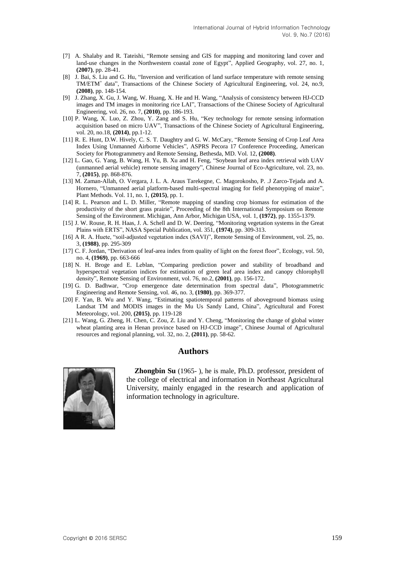- [7] A. Shalaby and R. Tateishi, "Remote sensing and GIS for mapping and monitoring land cover and land-use changes in the Northwestern coastal zone of Egypt", Applied Geography, vol. 27, no. 1, **(2007)**, pp. 28-41.
- [8] J. Bai, S. Liu and G. Hu, "Inversion and verification of land surface temperature with remote sensing TM/ETM<sup>+</sup> data", Transactions of the Chinese Society of Agricultural Engineering, vol. 24, no.9, **(2008)**, pp. 148-154.
- [9] J. Zhang, X. Gu, J. Wang, W. Huang, X. He and H. Wang, "Analysis of consistency between HJ-CCD images and TM images in monitoring rice LAI", Transactions of the Chinese Society of Agricultural Engineering, vol. 26, no. 7, **(2010)**, pp. 186-193.
- [10] P. Wang, X. Luo, Z. Zhou, Y. Zang and S. Hu, "Key technology for remote sensing information acquisition based on micro UAV", Transactions of the Chinese Society of Agricultural Engineering, vol. 20, no.18, **(2014)**, pp.1-12.
- [11] R. E. Hunt, D.W. Hively, C. S. T. Daughtry and G. W. McCary, "Remote Sensing of Crop Leaf Area Index Using Unmanned Airborne Vehicles", ASPRS Pecora 17 Conference Proceeding, American Society for Photogrammetry and Remote Sensing, Bethesda, MD. Vol. 12, **(2008)**.
- [12] L. Gao, G. Yang, B. Wang, H. Yu, B. Xu and H. Feng, "Soybean leaf area index retrieval with UAV (unmanned aerial vehicle) remote sensing imagery", Chinese Journal of Eco-Agriculture, vol. 23, no. 7, **(2015)**, pp. 868-876.
- [13] M. Zaman-Allah, O. Vergara, J. L. A. Araus Tarekegne, C. Magorokosho, P. .J Zarco-Tejada and A. Hornero, "Unmanned aerial platform-based multi-spectral imaging for field phenotyping of maize", Plant Methods. Vol. 11, no. 1, **(2015)**, pp. 1.
- [14] R. L. Pearson and L. D. Miller, "Remote mapping of standing crop biomass for estimation of the productivity of the short grass prairie", Proceeding of the 8th International Symposium on Remote Sensing of the Environment. Michigan, Ann Arbor, Michigan USA, vol. 1, **(1972)**, pp. 1355-1379.
- [15] J. W. Rouse, R. H. Haas, J. A. Schell and D. W. Deering, "Monitoring vegetation systems in the Great Plains with ERTS", NASA Special Publication, vol. 351, **(1974)**, pp. 309-313.
- [16] A R. A. Huete, "soil-adjusted vegetation index (SAVI)", Remote Sensing of Environment, vol. 25, no. 3, **(1988)**, pp. 295-309
- [17] C. F. Jordan, "Derivation of leaf-area index from quality of light on the forest floor", Ecology, vol. 50, no. 4, **(1969)**, pp. 663-666
- [18] N. H. Broge and E. Leblan, "Comparing prediction power and stability of broadband and hyperspectral vegetation indices for estimation of green leaf area index and canopy chlorophyll density", Remote Sensing of Environment, vol. 76, no.2, **(2001)**, pp. 156-172.
- [19] G. D. Badhwar, "Crop emergence date determination from spectral data", Photogrammetric Engineering and Remote Sensing, vol. 46, no. 3, **(1980)**, pp. 369-377.
- [20] F. Yan, B. Wu and Y. Wang, "Estimating spatiotemporal patterns of aboveground biomass using Landsat TM and MODIS images in the Mu Us Sandy Land, China", Agricultural and Forest Meteorology, vol. 200, **(2015)**, pp. 119-128
- [21] L. Wang, G. Zheng, H. Chen, C. Zou, Z. Liu and Y. Cheng, "Monitoring the change of global winter wheat planting area in Henan province based on HJ-CCD image", Chinese Journal of Agricultural resources and regional planning, vol. 32, no. 2, **(2011)**, pp. 58-62.

### **Authors**



**Zhongbin Su** (1965- ), he is male, Ph.D. professor, president of the college of electrical and information in Northeast Agricultural University, mainly engaged in the research and application of information technology in agriculture.